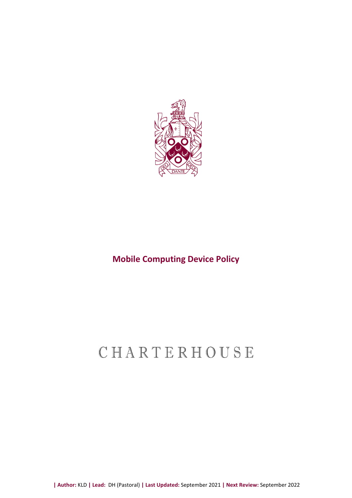

# **Mobile Computing Device Policy**

# CHARTERHOUSE

**| Author:** KLD **| Lead:** DH (Pastoral) **| Last Updated:** September 2021 **| Next Review:** September 2022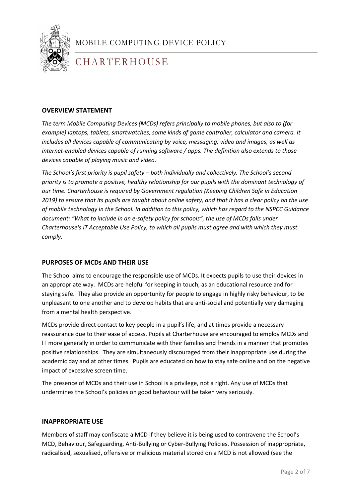

# CHARTERHOUSE

### **OVERVIEW STATEMENT**

*The term Mobile Computing Devices (MCDs) refers principally to mobile phones, but also to (for example) laptops, tablets, smartwatches, some kinds of game controller, calculator and camera. It includes all devices capable of communicating by voice, messaging, video and images, as well as internet-enabled devices capable of running software / apps. The definition also extends to those devices capable of playing music and video.*

*The School's first priority is pupil safety – both individually and collectively. The School's second priority is to promote a positive, healthy relationship for our pupils with the dominant technology of our time. Charterhouse is required by Government regulation (Keeping Children Safe in Education 2019) to ensure that its pupils are taught about online safety, and that it has a clear policy on the use of mobile technology in the School. In addition to this policy, which has regard to the NSPCC Guidance document: "What to include in an e-safety policy for schools", the use of MCDs falls under Charterhouse's IT Acceptable Use Policy, to which all pupils must agree and with which they must comply.*

#### **PURPOSES OF MCDs AND THEIR USE**

The School aims to encourage the responsible use of MCDs. It expects pupils to use their devices in an appropriate way. MCDs are helpful for keeping in touch, as an educational resource and for staying safe. They also provide an opportunity for people to engage in highly risky behaviour, to be unpleasant to one another and to develop habits that are anti-social and potentially very damaging from a mental health perspective.

academic day and at other times. Pupils are educated on how to stay safe online and on the negative MCDs provide direct contact to key people in a pupil's life, and at times provide a necessary reassurance due to their ease of access. Pupils at Charterhouse are encouraged to employ MCDs and IT more generally in order to communicate with their families and friends in a manner that promotes positive relationships. They are simultaneously discouraged from their inappropriate use during the impact of excessive screen time.

The presence of MCDs and their use in School is a privilege, not a right. Any use of MCDs that undermines the School's policies on good behaviour will be taken very seriously.

#### **INAPPROPRIATE USE**

Members of staff may confiscate a MCD if they believe it is being used to contravene the School's MCD, Behaviour, Safeguarding, Anti-Bullying or Cyber-Bullying Policies. Possession of inappropriate, radicalised, sexualised, offensive or malicious material stored on a MCD is not allowed (see the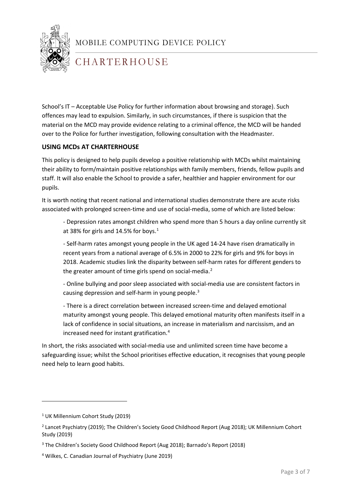

# CHARTERHOUSE

School's IT – Acceptable Use Policy for further information about browsing and storage). Such offences may lead to expulsion. Similarly, in such circumstances, if there is suspicion that the material on the MCD may provide evidence relating to a criminal offence, the MCD will be handed over to the Police for further investigation, following consultation with the Headmaster.

### **USING MCDs AT CHARTERHOUSE**

This policy is designed to help pupils develop a positive relationship with MCDs whilst maintaining their ability to form/maintain positive relationships with family members, friends, fellow pupils and staff. It will also enable the School to provide a safer, healthier and happier environment for our pupils.

It is worth noting that recent national and international studies demonstrate there are acute risks associated with prolonged screen-time and use of social-media, some of which are listed below:

- Depression rates amongst children who spend more than 5 hours a day online currently sit at 38% for girls and 14.5% for boys. [1](#page-2-0)

- Self-harm rates amongst young people in the UK aged 14-24 have risen dramatically in recent years from a national average of 6.5% in 2000 to 22% for girls and 9% for boys in 2018. Academic studies link the disparity between self-harm rates for different genders to the greater amount of time girls spend on social-media.<sup>[2](#page-2-1)</sup>

- Online bullying and poor sleep associated with social-media use are consistent factors in causing depression and self-harm in young people.[3](#page-2-2)

- There is a direct correlation between increased screen-time and delayed emotional maturity amongst young people. This delayed emotional maturity often manifests itself in a lack of confidence in social situations, an increase in materialism and narcissism, and an increased need for instant gratification.[4](#page-2-3)

need help to learn good habits. In short, the risks associated with social-media use and unlimited screen time have become a safeguarding issue; whilst the School prioritises effective education, it recognises that young people

**.** 

<span id="page-2-0"></span><sup>&</sup>lt;sup>1</sup> UK Millennium Cohort Study (2019)

<span id="page-2-1"></span><sup>2</sup> Lancet Psychiatry (2019); The Children's Society Good Childhood Report (Aug 2018); UK Millennium Cohort Study (2019)

<span id="page-2-2"></span><sup>3</sup> The Children's Society Good Childhood Report (Aug 2018); Barnado's Report (2018)

<span id="page-2-3"></span><sup>4</sup> Wilkes, C. Canadian Journal of Psychiatry (June 2019)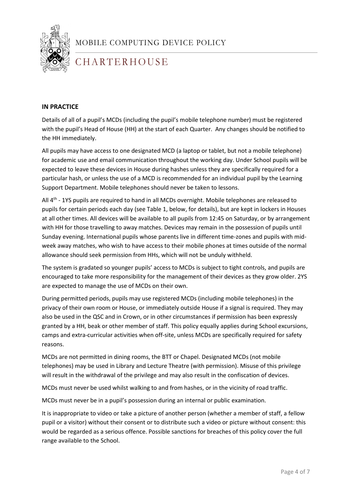

# CHARTERHOUSE

### **IN PRACTICE**

Details of all of a pupil's MCDs (including the pupil's mobile telephone number) must be registered with the pupil's Head of House (HH) at the start of each Quarter. Any changes should be notified to the HH immediately.

All pupils may have access to one designated MCD (a laptop or tablet, but not a mobile telephone) for academic use and email communication throughout the working day. Under School pupils will be expected to leave these devices in House during hashes unless they are specifically required for a particular hash, or unless the use of a MCD is recommended for an individual pupil by the Learning Support Department. Mobile telephones should never be taken to lessons.

All 4<sup>th</sup> - 1YS pupils are required to hand in all MCDs overnight. Mobile telephones are released to pupils for certain periods each day (see Table 1, below, for details), but are kept in lockers in Houses at all other times. All devices will be available to all pupils from 12:45 on Saturday, or by arrangement with HH for those travelling to away matches. Devices may remain in the possession of pupils until Sunday evening. International pupils whose parents live in different time-zones and pupils with midweek away matches, who wish to have access to their mobile phones at times outside of the normal allowance should seek permission from HHs, which will not be unduly withheld.

The system is gradated so younger pupils' access to MCDs is subject to tight controls, and pupils are encouraged to take more responsibility for the management of their devices as they grow older. 2YS are expected to manage the use of MCDs on their own.

During permitted periods, pupils may use registered MCDs (including mobile telephones) in the privacy of their own room or House, or immediately outside House if a signal is required. They may also be used in the QSC and in Crown, or in other circumstances if permission has been expressly granted by a HH, beak or other member of staff. This policy equally applies during School excursions, camps and extra-curricular activities when off-site, unless MCDs are specifically required for safety reasons.

1 telephones) may be used in Library and Lecture Theatre (with permission). Misuse of this privilege MCDs are not permitted in dining rooms, the BTT or Chapel. Designated MCDs (not mobile will result in the withdrawal of the privilege and may also result in the confiscation of devices.

MCDs must never be used whilst walking to and from hashes, or in the vicinity of road traffic.

MCDs must never be in a pupil's possession during an internal or public examination.

It is inappropriate to video or take a picture of another person (whether a member of staff, a fellow pupil or a visitor) without their consent or to distribute such a video or picture without consent: this would be regarded as a serious offence. Possible sanctions for breaches of this policy cover the full range available to the School.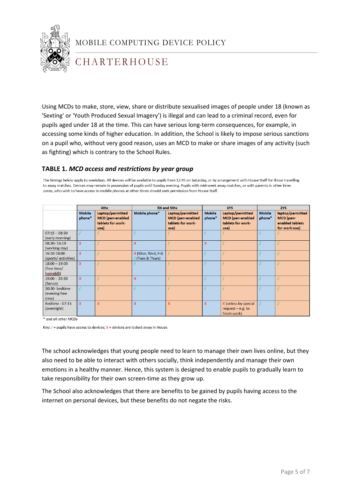

# CHARTERHOUSE

Using MCDs to make, store, view, share or distribute sexualised images of people under 18 (known as 'Sexting' or 'Youth Produced Sexual Imagery') is illegal and can lead to a criminal record, even for pupils aged under 18 at the time. This can have serious long-term consequences, for example, in accessing some kinds of higher education. In addition, the School is likely to impose serious sanctions on a pupil who, without very good reason, uses an MCD to make or share images of any activity (such as fighting) which is contrary to the School Rules.

### **TABLE 1.** *MCD access and restrictions by year group*

The timings below apply to weekdays. All devices will be available to pupils from 12:45 on Saturday, or by arrangement with House Staff for those travelling to away matches. Devices may remain in possession of pupils until Sunday evening. Pupils with mid-week away matches, or with parents in other timezones, who wish to have access to mobile phones at other times should seek permission from House Staff.

|                                             | 4ths                    |                                                                          | <b>RX and 5ths</b>                  |                                                                          | 1YS                     |                                                                          | 2YS                     |                                                                   |
|---------------------------------------------|-------------------------|--------------------------------------------------------------------------|-------------------------------------|--------------------------------------------------------------------------|-------------------------|--------------------------------------------------------------------------|-------------------------|-------------------------------------------------------------------|
|                                             | <b>Mobile</b><br>phone* | Laptop/permitted<br><b>MCD</b> (pen-enabled<br>tablets for work-<br>use) | Mobile phone*                       | Laptop/permitted<br><b>MCD</b> (pen-enabled<br>tablets for work-<br>use) | <b>Mobile</b><br>phone* | Laptop/permitted<br><b>MCD</b> (pen-enabled<br>tablets for work-<br>use) | <b>Mobile</b><br>phone* | laptop/permitted<br>MCD (pen-<br>enabled tablets<br>for work-use) |
| $07:15 - 08:30$<br>(early morning)          |                         |                                                                          |                                     |                                                                          |                         |                                                                          |                         |                                                                   |
| 08:30-16:10<br>(working day)                | $\mathbf{x}$            |                                                                          | $\mathsf{x}$                        |                                                                          | $\mathsf{x}$            |                                                                          |                         |                                                                   |
| 16:10-18:00<br>(sports/ activities)         | $\mathbf{x}$            |                                                                          | X (Mon, Wed, Fri)<br>(Tues & Thurs) |                                                                          |                         |                                                                          |                         |                                                                   |
| $18:00 - 19:00$<br>(free time/<br>homebill) | $\mathsf{x}$            |                                                                          |                                     |                                                                          |                         |                                                                          |                         |                                                                   |
| $19:00 - 20:30$<br>(Banco)                  | $\mathbf{x}$            |                                                                          | $\mathbf x$                         |                                                                          |                         |                                                                          |                         |                                                                   |
| 20:30- bedtime<br>(evening free<br>time)    |                         |                                                                          |                                     |                                                                          |                         |                                                                          |                         |                                                                   |
| Bedtime - 07:15<br>(overnight)              | $\mathsf{x}$            | X                                                                        | $\mathsf{x}$                        | $\overline{\mathsf{x}}$                                                  | $\mathsf{x}$            | X (unless by special<br>request $-$ e.g. to<br>finish work)              |                         |                                                                   |

\* and all other MCDs

Key:  $/$  = pupils have access to devices;  $X$  = devices are locked away in House.

1 also need to be able to interact with others socially, think independently and manage their own The school acknowledges that young people need to learn to manage their own lives online, but they emotions in a healthy manner. Hence, this system is designed to enable pupils to gradually learn to take responsibility for their own screen-time as they grow up.

The School also acknowledges that there are benefits to be gained by pupils having access to the internet on personal devices, but these benefits do not negate the risks.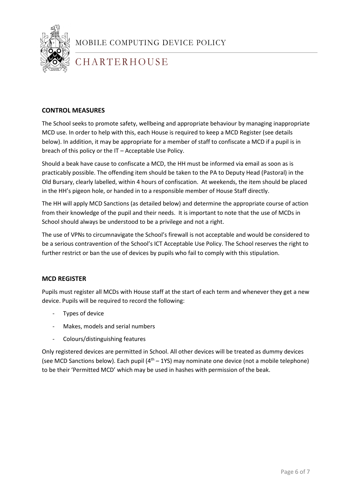

# CHARTERHOUSE

### **CONTROL MEASURES**

The School seeks to promote safety, wellbeing and appropriate behaviour by managing inappropriate MCD use. In order to help with this, each House is required to keep a MCD Register (see details below). In addition, it may be appropriate for a member of staff to confiscate a MCD if a pupil is in breach of this policy or the IT – Acceptable Use Policy.

Should a beak have cause to confiscate a MCD, the HH must be informed via email as soon as is practicably possible. The offending item should be taken to the PA to Deputy Head (Pastoral) in the Old Bursary, clearly labelled, within 4 hours of confiscation. At weekends, the item should be placed in the HH's pigeon hole, or handed in to a responsible member of House Staff directly.

The HH will apply MCD Sanctions (as detailed below) and determine the appropriate course of action from their knowledge of the pupil and their needs. It is important to note that the use of MCDs in School should always be understood to be a privilege and not a right.

The use of VPNs to circumnavigate the School's firewall is not acceptable and would be considered to be a serious contravention of the School's ICT Acceptable Use Policy. The School reserves the right to further restrict or ban the use of devices by pupils who fail to comply with this stipulation.

#### **MCD REGISTER**

Pupils must register all MCDs with House staff at the start of each term and whenever they get a new device. Pupils will be required to record the following:

- Types of device
- Makes, models and serial numbers
- Colours/distinguishing features

(see MCD Sanctions below). Each pupil  $(4<sup>th</sup> - 1)$ S) may nominate one device (not a mobile telephone) Only registered devices are permitted in School. All other devices will be treated as dummy devices to be their 'Permitted MCD' which may be used in hashes with permission of the beak.